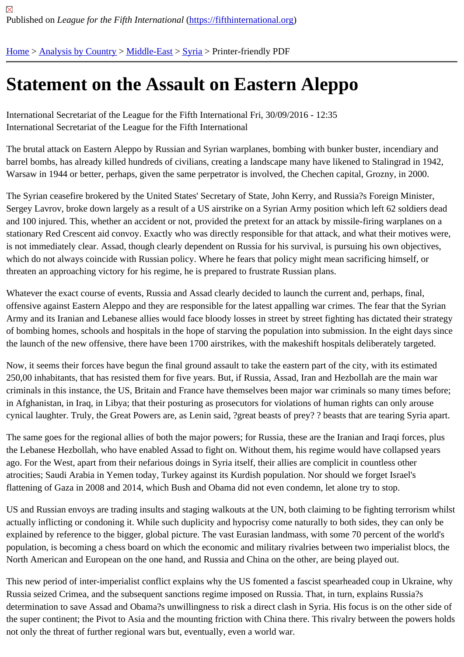## [Sta](https://fifthinternational.org/)[tement on](https://fifthinternational.org/category/1) [the As](https://fifthinternational.org/category/1/178)[sau](https://fifthinternational.org/category/1/178/196)lt on Eastern Aleppo

International Secretariat of the League for the Fifth International Fri, 30/09/2016 - 12:35 International Secretariat of the League for the Fifth International

The brutal attack on Eastern Aleppo by Russian and Syrian warplanes, bombing with bunker buster, incendiary an barrel bombs, has already killed hundreds of civilians, creating a landscape many have likened to Stalingrad in 19 Warsaw in 1944 or better, perhaps, given the same perpetrator is involved, the Chechen capital, Grozny, in 2000.

The Syrian ceasefire brokered by the United States' Secretary of State, John Kerry, and Russia?s Foreign Minister, Sergey Lavrov, broke down largely as a result of a US airstrike on a Syrian Army position which left 62 soldiers de and 100 injured. This, whether an accident or not, provided the pretext for an attack by missile-firing warplanes on stationary Red Crescent aid convoy. Exactly who was directly responsible for that attack, and what their motives w is not immediately clear. Assad, though clearly dependent on Russia for his survival, is pursuing his own objective which do not always coincide with Russian policy. Where he fears that policy might mean sacrificing himself, or threaten an approaching victory for his regime, he is prepared to frustrate Russian plans.

Whatever the exact course of events, Russia and Assad clearly decided to launch the current and, perhaps, final, offensive against Eastern Aleppo and they are responsible for the latest appalling war crimes. The fear that the Sy Army and its Iranian and Lebanese allies would face bloody losses in street by street fighting has dictated their strategy of bombing homes, schools and hospitals in the hope of starving the population into submission. In the eight days the launch of the new offensive, there have been 1700 airstrikes, with the makeshift hospitals deliberately targeted

Now, it seems their forces have begun the final ground assault to take the eastern part of the city, with its estimate 250,00 inhabitants, that has resisted them for five years. But, if Russia, Assad, Iran and Hezbollah are the main wa criminals in this instance, the US, Britain and France have themselves been major war criminals so many times be in Afghanistan, in Iraq, in Libya; that their posturing as prosecutors for violations of human rights can only arouse cynical laughter. Truly, the Great Powers are, as Lenin said, ?great beasts of prey? ? beasts that are tearing Syria

The same goes for the regional allies of both the major powers; for Russia, these are the Iranian and Iraqi forces, the Lebanese Hezbollah, who have enabled Assad to fight on. Without them, his regime would have collapsed yea ago. For the West, apart from their nefarious doings in Syria itself, their allies are complicit in countless other atrocities; Saudi Arabia in Yemen today, Turkey against its Kurdish population. Nor should we forget Israel's flattening of Gaza in 2008 and 2014, which Bush and Obama did not even condemn, let alone try to stop.

US and Russian envoys are trading insults and staging walkouts at the UN, both claiming to be fighting terrorism v actually inflicting or condoning it. While such duplicity and hypocrisy come naturally to both sides, they can only be explained by reference to the bigger, global picture. The vast Eurasian landmass, with some 70 percent of the wor population, is becoming a chess board on which the economic and military rivalries between two imperialist blocs, North American and European on the one hand, and Russia and China on the other, are being played out.

This new period of inter-imperialist conflict explains why the US fomented a fascist spearheaded coup in Ukraine, Russia seized Crimea, and the subsequent sanctions regime imposed on Russia. That, in turn, explains Russia?s determination to save Assad and Obama?s unwillingness to risk a direct clash in Syria. His focus is on the other si the super continent; the Pivot to Asia and the mounting friction with China there. This rivalry between the powers h not only the threat of further regional wars but, eventually, even a world war.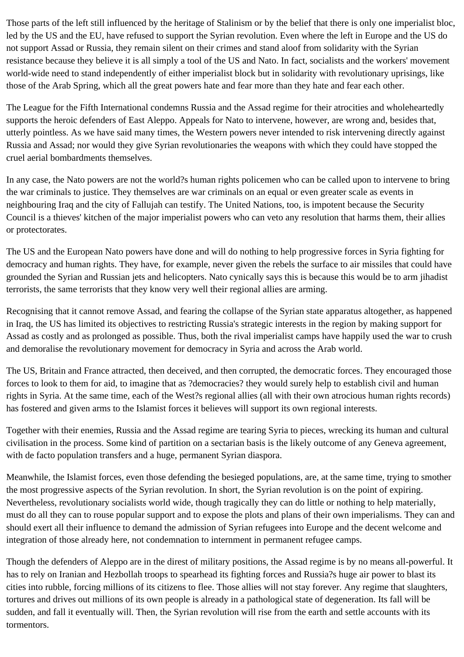Those parts of the left still influenced by the heritage of Stalinism or by the belief that there is only one imperialist bloc, led by the US and the EU, have refused to support the Syrian revolution. Even where the left in Europe and the US do not support Assad or Russia, they remain silent on their crimes and stand aloof from solidarity with the Syrian resistance because they believe it is all simply a tool of the US and Nato. In fact, socialists and the workers' movement world-wide need to stand independently of either imperialist block but in solidarity with revolutionary uprisings, like those of the Arab Spring, which all the great powers hate and fear more than they hate and fear each other.

The League for the Fifth International condemns Russia and the Assad regime for their atrocities and wholeheartedly supports the heroic defenders of East Aleppo. Appeals for Nato to intervene, however, are wrong and, besides that, utterly pointless. As we have said many times, the Western powers never intended to risk intervening directly against Russia and Assad; nor would they give Syrian revolutionaries the weapons with which they could have stopped the cruel aerial bombardments themselves.

In any case, the Nato powers are not the world?s human rights policemen who can be called upon to intervene to bring the war criminals to justice. They themselves are war criminals on an equal or even greater scale as events in neighbouring Iraq and the city of Fallujah can testify. The United Nations, too, is impotent because the Security Council is a thieves' kitchen of the major imperialist powers who can veto any resolution that harms them, their allies or protectorates.

The US and the European Nato powers have done and will do nothing to help progressive forces in Syria fighting for democracy and human rights. They have, for example, never given the rebels the surface to air missiles that could have grounded the Syrian and Russian jets and helicopters. Nato cynically says this is because this would be to arm jihadist terrorists, the same terrorists that they know very well their regional allies are arming.

Recognising that it cannot remove Assad, and fearing the collapse of the Syrian state apparatus altogether, as happened in Iraq, the US has limited its objectives to restricting Russia's strategic interests in the region by making support for Assad as costly and as prolonged as possible. Thus, both the rival imperialist camps have happily used the war to crush and demoralise the revolutionary movement for democracy in Syria and across the Arab world.

The US, Britain and France attracted, then deceived, and then corrupted, the democratic forces. They encouraged those forces to look to them for aid, to imagine that as ?democracies? they would surely help to establish civil and human rights in Syria. At the same time, each of the West?s regional allies (all with their own atrocious human rights records) has fostered and given arms to the Islamist forces it believes will support its own regional interests.

Together with their enemies, Russia and the Assad regime are tearing Syria to pieces, wrecking its human and cultural civilisation in the process. Some kind of partition on a sectarian basis is the likely outcome of any Geneva agreement, with de facto population transfers and a huge, permanent Syrian diaspora.

Meanwhile, the Islamist forces, even those defending the besieged populations, are, at the same time, trying to smother the most progressive aspects of the Syrian revolution. In short, the Syrian revolution is on the point of expiring. Nevertheless, revolutionary socialists world wide, though tragically they can do little or nothing to help materially, must do all they can to rouse popular support and to expose the plots and plans of their own imperialisms. They can and should exert all their influence to demand the admission of Syrian refugees into Europe and the decent welcome and integration of those already here, not condemnation to internment in permanent refugee camps.

Though the defenders of Aleppo are in the direst of military positions, the Assad regime is by no means all-powerful. It has to rely on Iranian and Hezbollah troops to spearhead its fighting forces and Russia?s huge air power to blast its cities into rubble, forcing millions of its citizens to flee. Those allies will not stay forever. Any regime that slaughters, tortures and drives out millions of its own people is already in a pathological state of degeneration. Its fall will be sudden, and fall it eventually will. Then, the Syrian revolution will rise from the earth and settle accounts with its tormentors.